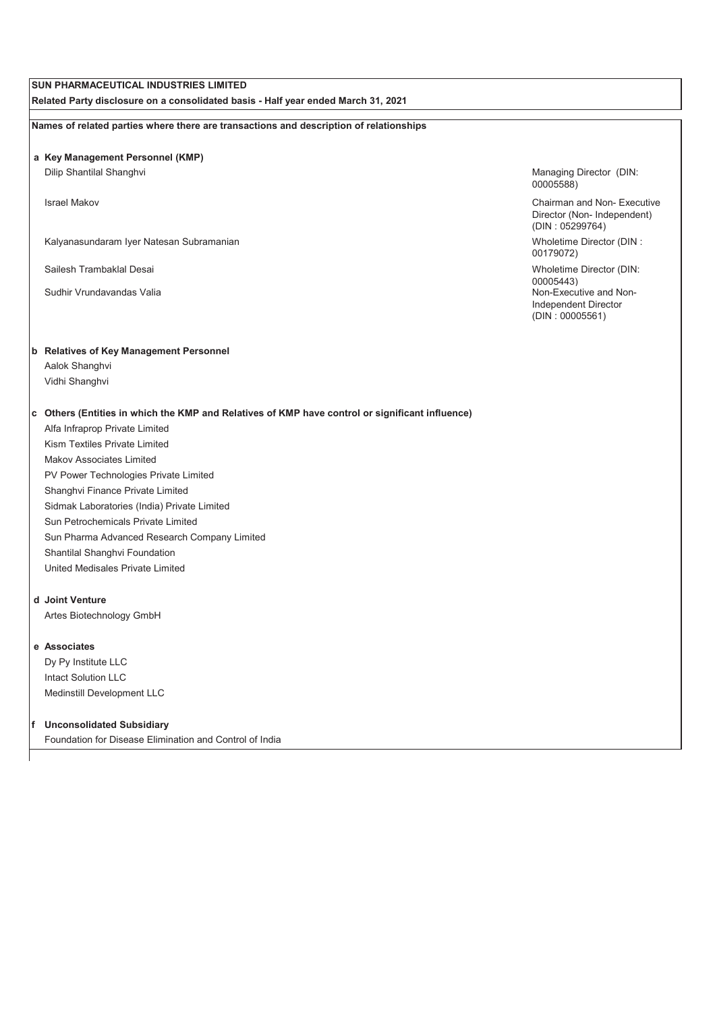# **SUN PHARMACEUTICAL INDUSTRIES LIMITED**

**Related Party disclosure on a consolidated basis - Half year ended March 31, 2021**

**Names of related parties where there are transactions and description of relationships**

#### **a Key Management Personnel (KMP)**

Dilip Shantilal Shanghvi Managing Director (DIN:

Kalyanasundaram Iyer Natesan Subramanian Wholetime Director (DIN : Wholetime Director (DIN :

Sailesh Trambaklal Desai Wholetime Director (DIN:

### **b Relatives of Key Management Personnel**

Aalok Shanghvi Vidhi Shanghvi

## **c Others (Entities in which the KMP and Relatives of KMP have control or significant influence)**

Alfa Infraprop Private Limited Kism Textiles Private Limited Makov Associates Limited PV Power Technologies Private Limited Shanghvi Finance Private Limited Sidmak Laboratories (India) Private Limited Sun Petrochemicals Private Limited Sun Pharma Advanced Research Company Limited Shantilal Shanghvi Foundation United Medisales Private Limited

# **d Joint Venture**

Artes Biotechnology GmbH

#### **e Associates**

Dy Py Institute LLC Intact Solution LLC Medinstill Development LLC

#### **f Unconsolidated Subsidiary**

Foundation for Disease Elimination and Control of India

00005588)

Israel Makov Chairman and Non- Executive Director (Non- Independent) (DIN : 05299764)

00179072)

00005443) Sudhir Vrundavandas Valia Non-Executive and Non-Independent Director (DIN : 00005561)